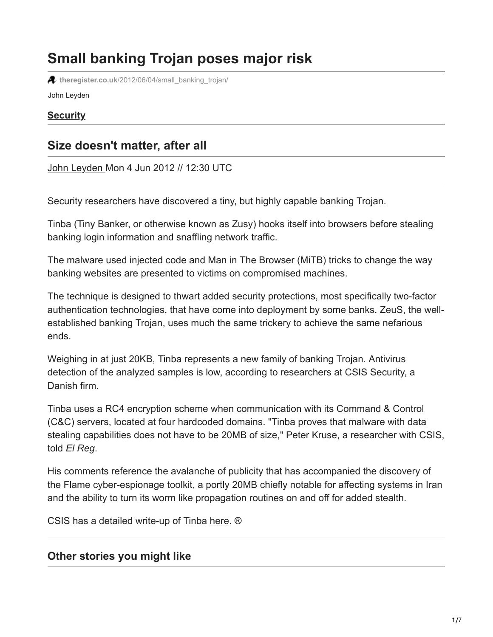# **Small banking Trojan poses major risk**

**theregister.co.uk**[/2012/06/04/small\\_banking\\_trojan/](http://www.theregister.co.uk/2012/06/04/small_banking_trojan/)

John Leyden

#### **[Security](http://www.theregister.co.uk/security/)**

# **Size doesn't matter, after all**

[John Leyden](http://www.theregister.co.uk/Author/John-Leyden) Mon 4 Jun 2012 // 12:30 UTC

Security researchers have discovered a tiny, but highly capable banking Trojan.

Tinba (Tiny Banker, or otherwise known as Zusy) hooks itself into browsers before stealing banking login information and snaffling network traffic.

The malware used injected code and Man in The Browser (MiTB) tricks to change the way banking websites are presented to victims on compromised machines.

The technique is designed to thwart added security protections, most specifically two-factor authentication technologies, that have come into deployment by some banks. ZeuS, the wellestablished banking Trojan, uses much the same trickery to achieve the same nefarious ends.

Weighing in at just 20KB, Tinba represents a new family of banking Trojan. Antivirus detection of the analyzed samples is low, according to researchers at CSIS Security, a Danish firm.

Tinba uses a RC4 encryption scheme when communication with its Command & Control (C&C) servers, located at four hardcoded domains. "Tinba proves that malware with data stealing capabilities does not have to be 20MB of size," Peter Kruse, a researcher with CSIS, told *El Reg*.

His comments reference the avalanche of publicity that has accompanied the discovery of the Flame cyber-espionage toolkit, a portly 20MB chiefly notable for affecting systems in Iran and the ability to turn its worm like propagation routines on and off for added stealth.

CSIS has a detailed write-up of Tinba [here.](http://www.csis.dk/en/csis/news/3566) ®

## **Other stories you might like**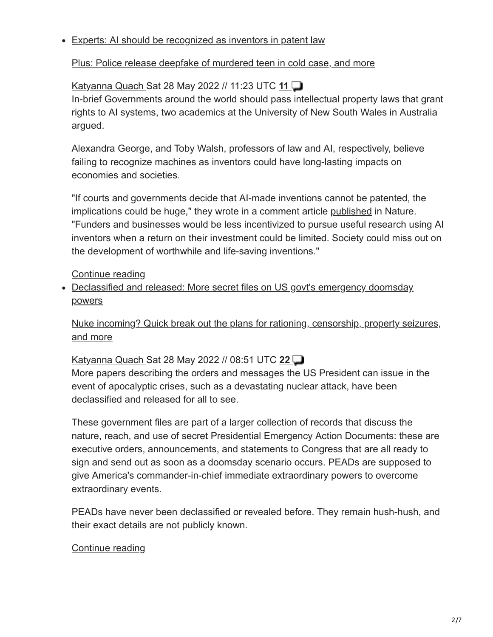#### Experts: AI should be recognized as inventors in patent law

### [Plus: Police release deepfake of murdered teen in cold case, and more](http://www.theregister.co.uk/2022/05/28/experts_ai_patent_law/?td=keepreading-top)

## [Katyanna Quach S](http://www.theregister.co.uk/Author/Katyanna-Quach)at 28 May 2022 // 11:23 UTC **[11](https://forums.theregister.com/forum/all/2022/05/28/experts_ai_patent_law/)**

In-brief Governments around the world should pass intellectual property laws that grant rights to AI systems, two academics at the University of New South Wales in Australia argued.

Alexandra George, and Toby Walsh, professors of law and AI, respectively, believe failing to recognize machines as inventors could have long-lasting impacts on economies and societies.

"If courts and governments decide that AI-made inventions cannot be patented, the implications could be huge," they wrote in a comment article [published](https://www.nature.com/articles/d41586-022-01391-x) in Nature. "Funders and businesses would be less incentivized to pursue useful research using AI inventors when a return on their investment could be limited. Society could miss out on the development of worthwhile and life-saving inventions."

#### [Continue reading](http://www.theregister.co.uk/2022/05/28/experts_ai_patent_law/?td=keepreading-btm)

• Declassified and released: More secret files on US govt's emergency doomsday powers

[Nuke incoming? Quick break out the plans for rationing, censorship, property seizures,](http://www.theregister.co.uk/2022/05/28/documents_reveal_secretive_government_plans/?td=keepreading-top) and more

## [Katyanna Quach S](http://www.theregister.co.uk/Author/Katyanna-Quach)at 28 May 2022 // 08:51 UTC **[22](https://forums.theregister.com/forum/all/2022/05/28/documents_reveal_secretive_government_plans/)**

More papers describing the orders and messages the US President can issue in the event of apocalyptic crises, such as a devastating nuclear attack, have been declassified and released for all to see.

These government files are part of a larger collection of records that discuss the nature, reach, and use of secret Presidential Emergency Action Documents: these are executive orders, announcements, and statements to Congress that are all ready to sign and send out as soon as a doomsday scenario occurs. PEADs are supposed to give America's commander-in-chief immediate extraordinary powers to overcome extraordinary events.

PEADs have never been declassified or revealed before. They remain hush-hush, and their exact details are not publicly known.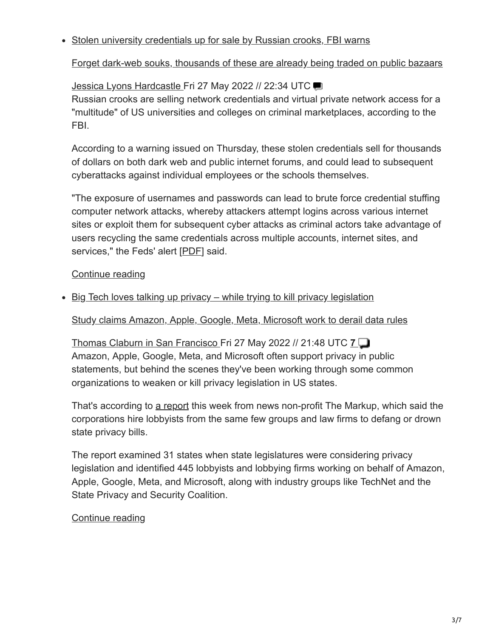#### • Stolen university credentials up for sale by Russian crooks, FBI warns

[Forget dark-web souks, thousands of these are already being traded on public bazaars](http://www.theregister.co.uk/2022/05/27/fbi_warning_stolen_university_credentials/?td=keepreading-top)

## [Jessica Lyons Hardcastle F](http://www.theregister.co.uk/Author/Jessica-Lyons-Hardcastle)ri 27 May 2022 // 22:34 UTC

Russian crooks are selling network credentials and virtual private network access for a "multitude" of US universities and colleges on criminal marketplaces, according to the FBI.

According to a warning issued on Thursday, these stolen credentials sell for thousands of dollars on both dark web and public internet forums, and could lead to subsequent cyberattacks against individual employees or the schools themselves.

"The exposure of usernames and passwords can lead to brute force credential stuffing computer network attacks, whereby attackers attempt logins across various internet sites or exploit them for subsequent cyber attacks as criminal actors take advantage of users recycling the same credentials across multiple accounts, internet sites, and services," the Feds' alert [\[PDF](https://www.ic3.gov/Media/News/2022/220526.pdf)] said.

## [Continue reading](http://www.theregister.co.uk/2022/05/27/fbi_warning_stolen_university_credentials/?td=keepreading-btm)

• Big Tech loves talking up privacy – while trying to kill privacy legislation

[Study claims Amazon, Apple, Google, Meta, Microsoft work to derail data rules](http://www.theregister.co.uk/2022/05/27/big_tech_privacy/?td=keepreading-top)

[Thomas Claburn in San Francisco F](http://www.theregister.co.uk/Author/Thomas-Claburn)ri 27 May 2022 // 21:48 UTC **[7](https://forums.theregister.com/forum/all/2022/05/27/big_tech_privacy/)** Amazon, Apple, Google, Meta, and Microsoft often support privacy in public statements, but behind the scenes they've been working through some common organizations to weaken or kill privacy legislation in US states.

That's according to [a report](https://themarkup.org/privacy/2022/05/26/tech-industry-groups-are-watering-down-attempts-at-privacy-regulation-one-state-at-a-time) this week from news non-profit The Markup, which said the corporations hire lobbyists from the same few groups and law firms to defang or drown state privacy bills.

The report examined 31 states when state legislatures were considering privacy legislation and identified 445 lobbyists and lobbying firms working on behalf of Amazon, Apple, Google, Meta, and Microsoft, along with industry groups like TechNet and the State Privacy and Security Coalition.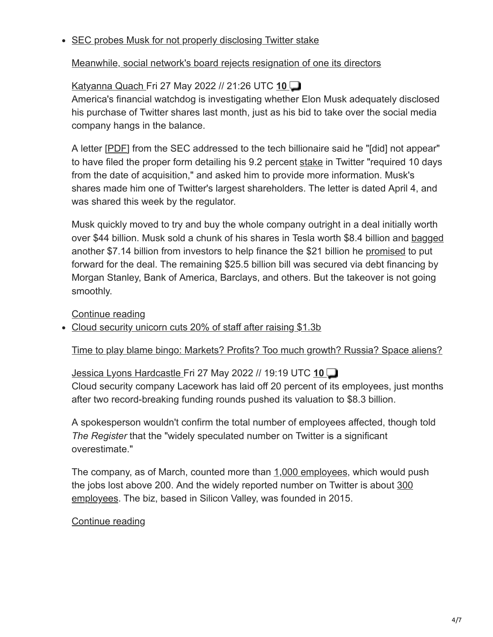#### • SEC probes Musk for not properly disclosing Twitter stake

### [Meanwhile, social network's board rejects resignation of one its directors](http://www.theregister.co.uk/2022/05/27/the_sec_is_probing_elon/?td=keepreading-top)

## [Katyanna Quach F](http://www.theregister.co.uk/Author/Katyanna-Quach)ri 27 May 2022 // 21:26 UTC **[10](https://forums.theregister.com/forum/all/2022/05/27/the_sec_is_probing_elon/)**

America's financial watchdog is investigating whether Elon Musk adequately disclosed his purchase of Twitter shares last month, just as his bid to take over the social media company hangs in the balance.

A letter [[PDF\]](https://www.sec.gov/Archives/edgar/data/1418091/000000000022003713/filename1.pdf) from the SEC addressed to the tech billionaire said he "[did] not appear" to have filed the proper form detailing his 9.2 percent [stake](https://www.theregister.com/2022/04/04/elon_musk_twitter/) in Twitter "required 10 days from the date of acquisition," and asked him to provide more information. Musk's shares made him one of Twitter's largest shareholders. The letter is dated April 4, and was shared this week by the regulator.

Musk quickly moved to try and buy the whole company outright in a deal initially worth over \$44 billion. Musk sold a chunk of his shares in Tesla worth \$8.4 billion and [bagged](https://www.theregister.com/2022/05/05/musk_twitter_ellison/) another \$7.14 billion from investors to help finance the \$21 billion he [promised](https://www.theregister.com/2022/04/21/musk_twitter_funding/) to put forward for the deal. The remaining \$25.5 billion bill was secured via debt financing by Morgan Stanley, Bank of America, Barclays, and others. But the takeover is not going smoothly.

#### [Continue reading](http://www.theregister.co.uk/2022/05/27/the_sec_is_probing_elon/?td=keepreading-btm)

• Cloud security unicorn cuts 20% of staff after raising \$1.3b

#### [Time to play blame bingo: Markets? Profits? Too much growth? Russia? Space aliens?](http://www.theregister.co.uk/2022/05/27/lacework_cuts_jobs/?td=keepreading-top)

[Jessica Lyons Hardcastle F](http://www.theregister.co.uk/Author/Jessica-Lyons-Hardcastle)ri 27 May 2022 // 19:19 UTC **[10](https://forums.theregister.com/forum/all/2022/05/27/lacework_cuts_jobs/)** Cloud security company Lacework has laid off 20 percent of its employees, just months after two record-breaking funding rounds pushed its valuation to \$8.3 billion.

A spokesperson wouldn't confirm the total number of employees affected, though told *The Register* that the "widely speculated number on Twitter is a significant overestimate."

The company, as of March, counted more than [1,000 employees,](https://venturebeat.com/2022/03/17/cybersecurity-has-53-unicorns-here-are-10-to-watch/) which would push [the jobs lost above 200. And the widely reported number on Twitter is about 300](https://twitter.com/GergelyOrosz/status/1529575067117658112) employees. The biz, based in Silicon Valley, was founded in 2015.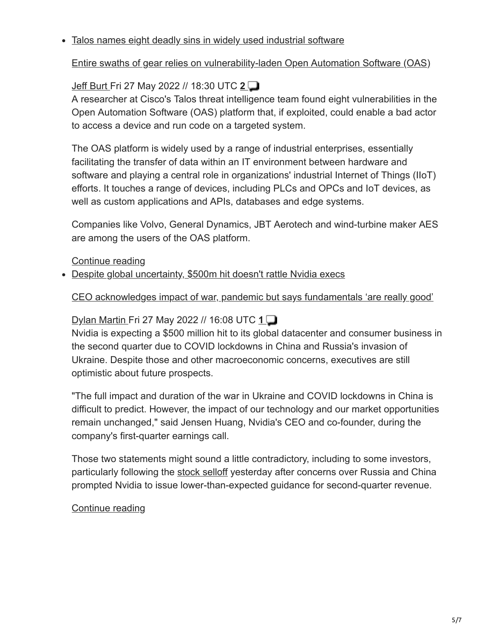#### Talos names eight deadly sins in widely used industrial software

### [Entire swaths of gear relies on vulnerability-laden Open Automation Software \(OAS\)](http://www.theregister.co.uk/2022/05/27/talos-aos-vulnerabilities/?td=keepreading-top)

## [Jeff Burt](http://www.theregister.co.uk/Author/Jeff-Burt) Fri 27 May 2022 // 18:30 UTC **[2](https://forums.theregister.com/forum/all/2022/05/27/talos-aos-vulnerabilities/)**

A researcher at Cisco's Talos threat intelligence team found eight vulnerabilities in the Open Automation Software (OAS) platform that, if exploited, could enable a bad actor to access a device and run code on a targeted system.

The OAS platform is widely used by a range of industrial enterprises, essentially facilitating the transfer of data within an IT environment between hardware and software and playing a central role in organizations' industrial Internet of Things (IIoT) efforts. It touches a range of devices, including PLCs and OPCs and IoT devices, as well as custom applications and APIs, databases and edge systems.

Companies like Volvo, General Dynamics, JBT Aerotech and wind-turbine maker AES are among the users of the OAS platform.

#### [Continue reading](http://www.theregister.co.uk/2022/05/27/talos-aos-vulnerabilities/?td=keepreading-btm)

• Despite global uncertainty, \$500m hit doesn't rattle Nvidia execs

#### [CEO acknowledges impact of war, pandemic but says fundamentals 'are really good'](http://www.theregister.co.uk/2022/05/27/nvidia_shrugs_off_global_chaos/?td=keepreading-top)

## [Dylan Martin F](http://www.theregister.co.uk/Author/Dylan-Martin)ri 27 May 2022 // 16:08 UTC **[1](https://forums.theregister.com/forum/all/2022/05/27/nvidia_shrugs_off_global_chaos/)**

Nvidia is expecting a \$500 million hit to its global datacenter and consumer business in the second quarter due to COVID lockdowns in China and Russia's invasion of Ukraine. Despite those and other macroeconomic concerns, executives are still optimistic about future prospects.

"The full impact and duration of the war in Ukraine and COVID lockdowns in China is difficult to predict. However, the impact of our technology and our market opportunities remain unchanged," said Jensen Huang, Nvidia's CEO and co-founder, during the company's first-quarter earnings call.

Those two statements might sound a little contradictory, including to some investors, particularly following the [stock selloff](https://www.theregister.com/2022/05/26/nvidia_q1fy2023_outlook/) yesterday after concerns over Russia and China prompted Nvidia to issue lower-than-expected guidance for second-quarter revenue.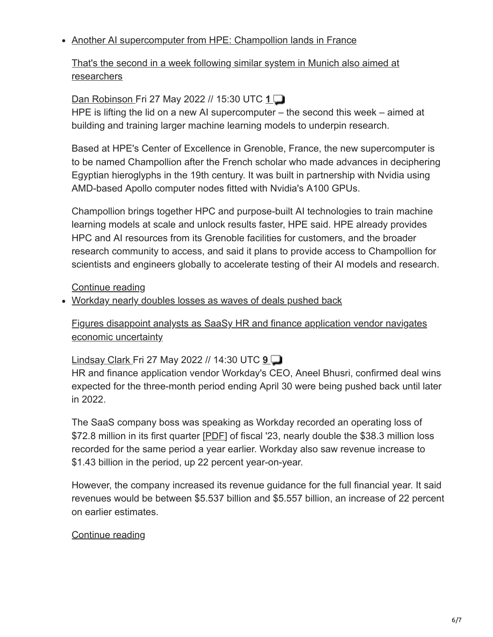#### • Another AI supercomputer from HPE: Champollion lands in France

[That's the second in a week following similar system in Munich also aimed at](http://www.theregister.co.uk/2022/05/27/hpe_champollion_supercomputer/?td=keepreading-top) researchers

## [Dan Robinson F](http://www.theregister.co.uk/Author/Dan-Robinson)ri 27 May 2022 // 15:30 UTC **[1](https://forums.theregister.com/forum/all/2022/05/27/hpe_champollion_supercomputer/)**

HPE is lifting the lid on a new AI supercomputer – the second this week – aimed at building and training larger machine learning models to underpin research.

Based at HPE's Center of Excellence in Grenoble, France, the new supercomputer is to be named Champollion after the French scholar who made advances in deciphering Egyptian hieroglyphs in the 19th century. It was built in partnership with Nvidia using AMD-based Apollo computer nodes fitted with Nvidia's A100 GPUs.

Champollion brings together HPC and purpose-built AI technologies to train machine learning models at scale and unlock results faster, HPE said. HPE already provides HPC and AI resources from its Grenoble facilities for customers, and the broader research community to access, and said it plans to provide access to Champollion for scientists and engineers globally to accelerate testing of their AI models and research.

[Continue reading](http://www.theregister.co.uk/2022/05/27/hpe_champollion_supercomputer/?td=keepreading-btm)

Workday nearly doubles losses as waves of deals pushed back

[Figures disappoint analysts as SaaSy HR and finance application vendor navigates](http://www.theregister.co.uk/2022/05/27/workday_near_doubles_losses_as/?td=keepreading-top) economic uncertainty

## [Lindsay Clark](http://www.theregister.co.uk/Author/Lindsay-Clark) Fri 27 May 2022 // 14:30 UTC **[9](https://forums.theregister.com/forum/all/2022/05/27/workday_near_doubles_losses_as/)**

HR and finance application vendor Workday's CEO, Aneel Bhusri, confirmed deal wins expected for the three-month period ending April 30 were being pushed back until later in 2022.

The SaaS company boss was speaking as Workday recorded an operating loss of \$72.8 million in its first quarter [[PDF](https://www.workday.com/content/dam/web/en-us/documents/investor/workday-fiscal-2023-first-quarter-investor-presentation.pdf)] of fiscal '23, nearly double the \$38.3 million loss recorded for the same period a year earlier. Workday also saw revenue increase to \$1.43 billion in the period, up 22 percent year-on-year.

However, the company increased its revenue guidance for the full financial year. It said revenues would be between \$5.537 billion and \$5.557 billion, an increase of 22 percent on earlier estimates.